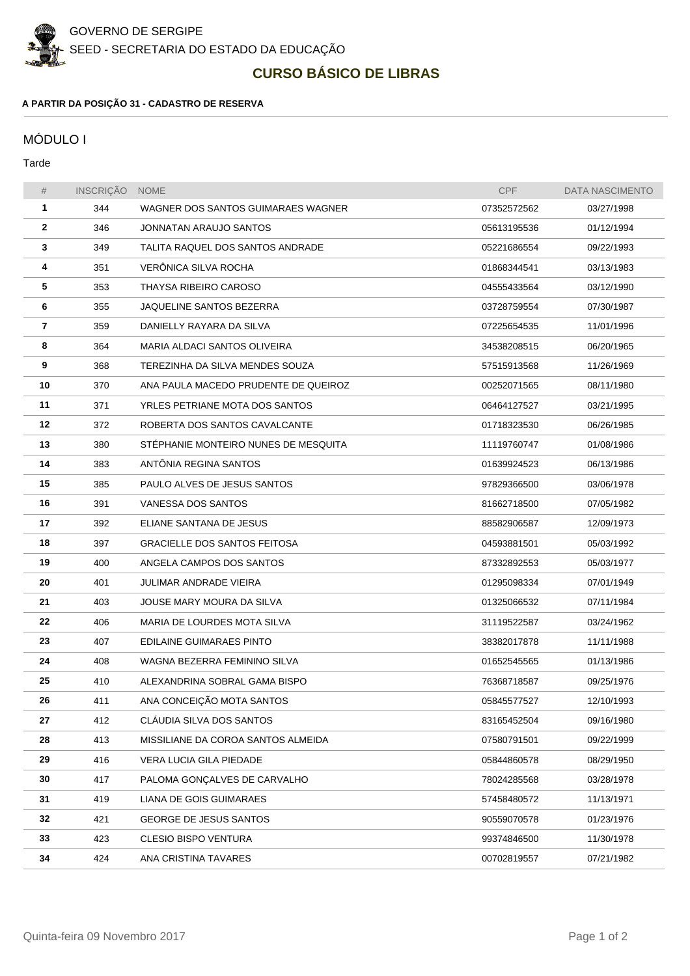

## **CURSO BÁSICO DE LIBRAS**

## **A PARTIR DA POSIÇÃO 31 - CADASTRO DE RESERVA**

## MÓDULO I

Tarde

| #  | INSCRIÇÃO | <b>NOME</b>                          | <b>CPF</b>  | <b>DATA NASCIMENTO</b> |
|----|-----------|--------------------------------------|-------------|------------------------|
| 1  | 344       | WAGNER DOS SANTOS GUIMARAES WAGNER   | 07352572562 | 03/27/1998             |
| 2  | 346       | JONNATAN ARAUJO SANTOS               | 05613195536 | 01/12/1994             |
| 3  | 349       | TALITA RAQUEL DOS SANTOS ANDRADE     | 05221686554 | 09/22/1993             |
| 4  | 351       | VERÖNICA SILVA ROCHA                 | 01868344541 | 03/13/1983             |
| 5  | 353       | THAYSA RIBEIRO CAROSO                | 04555433564 | 03/12/1990             |
| 6  | 355       | JAQUELINE SANTOS BEZERRA             | 03728759554 | 07/30/1987             |
| 7  | 359       | DANIELLY RAYARA DA SILVA             | 07225654535 | 11/01/1996             |
| 8  | 364       | MARIA ALDACI SANTOS OLIVEIRA         | 34538208515 | 06/20/1965             |
| 9  | 368       | TEREZINHA DA SILVA MENDES SOUZA      | 57515913568 | 11/26/1969             |
| 10 | 370       | ANA PAULA MACEDO PRUDENTE DE QUEIROZ | 00252071565 | 08/11/1980             |
| 11 | 371       | YRLES PETRIANE MOTA DOS SANTOS       | 06464127527 | 03/21/1995             |
| 12 | 372       | ROBERTA DOS SANTOS CAVALCANTE        | 01718323530 | 06/26/1985             |
| 13 | 380       | STEPHANIE MONTEIRO NUNES DE MESQUITA | 11119760747 | 01/08/1986             |
| 14 | 383       | ANTONIA REGINA SANTOS                | 01639924523 | 06/13/1986             |
| 15 | 385       | PAULO ALVES DE JESUS SANTOS          | 97829366500 | 03/06/1978             |
| 16 | 391       | VANESSA DOS SANTOS                   | 81662718500 | 07/05/1982             |
| 17 | 392       | ELIANE SANTANA DE JESUS              | 88582906587 | 12/09/1973             |
| 18 | 397       | <b>GRACIELLE DOS SANTOS FEITOSA</b>  | 04593881501 | 05/03/1992             |
| 19 | 400       | ANGELA CAMPOS DOS SANTOS             | 87332892553 | 05/03/1977             |
| 20 | 401       | JULIMAR ANDRADE VIEIRA               | 01295098334 | 07/01/1949             |
| 21 | 403       | JOUSE MARY MOURA DA SILVA            | 01325066532 | 07/11/1984             |
| 22 | 406       | MARIA DE LOURDES MOTA SILVA          | 31119522587 | 03/24/1962             |
| 23 | 407       | EDILAINE GUIMARAES PINTO             | 38382017878 | 11/11/1988             |
| 24 | 408       | WAGNA BEZERRA FEMININO SILVA         | 01652545565 | 01/13/1986             |
| 25 | 410       | ALEXANDRINA SOBRAL GAMA BISPO        | 76368718587 | 09/25/1976             |
| 26 | 411       | ANA CONCEICÃO MOTA SANTOS            | 05845577527 | 12/10/1993             |
| 27 | 412       | CLAUDIA SILVA DOS SANTOS             | 83165452504 | 09/16/1980             |
| 28 | 413       | MISSILIANE DA COROA SANTOS ALMEIDA   | 07580791501 | 09/22/1999             |
| 29 | 416       | VERA LUCIA GILA PIEDADE              | 05844860578 | 08/29/1950             |
| 30 | 417       | PALOMA GONÇALVES DE CARVALHO         | 78024285568 | 03/28/1978             |
| 31 | 419       | LIANA DE GOIS GUIMARAES              | 57458480572 | 11/13/1971             |
| 32 | 421       | <b>GEORGE DE JESUS SANTOS</b>        | 90559070578 | 01/23/1976             |
| 33 | 423       | <b>CLESIO BISPO VENTURA</b>          | 99374846500 | 11/30/1978             |
| 34 | 424       | ANA CRISTINA TAVARES                 | 00702819557 | 07/21/1982             |